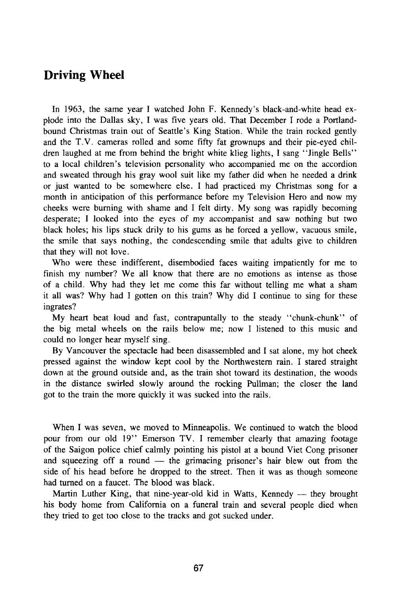## Driving Wheel

In 1963, the same year I watched John F. Kennedy's black-and-white head explode into the Dallas sky, I was five years old. That December I rode a Portlandbound Christmas train out of Seattle's King Station. While the train rocked gently and the T.V. cameras rolled and some fifty fat grownups and their pie-eyed children laughed at me from behind the bright white klieg lights, I sang "Jingle Bells" to a local children's television personality who accompanied me on the accordion and sweated through his gray wool suit like my father did when he needed a drink or just wanted to be somewhere else. I had practiced my Christmas song for a month in anticipation of this performance before my Television Hero and now my cheeks were burning with shame and I felt dirty. My song was rapidly becoming desperate; I looked into the eyes of my accompanist and saw nothing but two black holes; his lips stuck drily to his gums as he forced a yellow, vacuous smile, the smile that says nothing, the condescending smile that adults give to children that they will not love.

Who were these indifferent, disembodied faces waiting impatiently for me to finish my number? We all know that there are no emotions as intense as those of a child. Why had they let me come this far without telling me what a sham it all was? Why had I gotten on this train? Why did I continue to sing for these ingrates?

My heart beat loud and fast, contrapuntally to the steady "chunk-chunk" of the big metal wheels on the rails below me; now I listened to this music and could no longer hear myself sing.

By Vancouver the spectacle had been disassembled and I sat alone, my hot cheek pressed against the window kept cool by the Northwestern rain. I stared straight down at the ground outside and, as the train shot toward its destination, the woods in the distance swirled slowly around the rocking Pullman; the closer the land got to the train the more quickly it was sucked into the rails.

When I was seven, we moved to Minneapolis. We continued to watch the blood pour from our old 19" Emerson TV. I remember clearly that amazing footage of the Saigon police chief calmly pointing his pistol at a bound Viet Cong prisoner and squeezing off a round — the grimacing prisoner's hair blew out from the side of his head before he dropped to the street. Then it was as though someone had turned on a faucet. The blood was black.

Martin Luther King, that nine-year-old kid in Watts, Kennedy — they brought his body home from California on a funeral train and several people died when they tried to get too close to the tracks and got sucked under.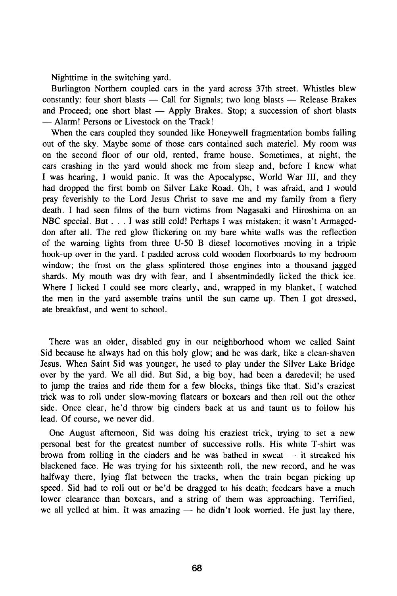Nighttime in the switching yard.

Burlington Northern coupled cars in the yard across 37th street. Whistles blew constantly: four short blasts  $-$  Call for Signals; two long blasts  $-$  Release Brakes and Proceed; one short blast — Apply Brakes. Stop; a succession of short blasts — Alarm! Persons or Livestock on the Track!

When the cars coupled they sounded like Honeywell fragmentation bombs falling out of the sky. Maybe some of those cars contained such materiel. My room was on the second floor of our old, rented, frame house. Sometimes, at night, the cars crashing in the yard would shock me from sleep and, before I knew what I was hearing, I would panic. It was the Apocalypse, World War III, and they had dropped the first bomb on Silver Lake Road. Oh, I was afraid, and I would pray feverishly to the Lord Jesus Christ to save me and my family from a fiery death. I had seen films of the burn victims from Nagasaki and Hiroshima on an NBC special. But .. . I was still cold! Perhaps I was mistaken; it wasn't Armageddon after all. The red glow flickering on my bare white walls was the reflection of the warning lights from three U-50 B diesel locomotives moving in a triple hook-up over in the yard. I padded across cold wooden floorboards to my bedroom window; the frost on the glass splintered those engines into a thousand jagged shards. My mouth was dry with fear, and I absentmindedly licked the thick ice. Where I licked I could see more clearly, and, wrapped in my blanket, I watched the men in the yard assemble trains until the sun came up. Then I got dressed, ate breakfast, and went to school.

There was an older, disabled guy in our neighborhood whom we called Saint Sid because he always had on this holy glow; and he was dark, like a clean-shaven Jesus. When Saint Sid was younger, he used to play under the Silver Lake Bridge over by the yard. We all did. But Sid, a big boy, had been a daredevil; he used to jump the trains and ride them for a few blocks, things like that. Sid's craziest trick was to roll under slow-moving flatcars or boxcars and then roll out the other side. Once clear, he'd throw big cinders back at us and taunt us to follow his lead. Of course, we never did.

One August afternoon, Sid was doing his craziest trick, trying to set a new personal best for the greatest number of successive rolls. His white T-shirt was brown from rolling in the cinders and he was bathed in sweat — it streaked his blackened face. He was trying for his sixteenth roll, the new record, and he was halfway there, lying flat between the tracks, when the train began picking up speed. Sid had to roll out or he'd be dragged to his death; feedcars have a much lower clearance than boxcars, and a string of them was approaching. Terrified, we all yelled at him. It was amazing — he didn't look worried. He just lay there,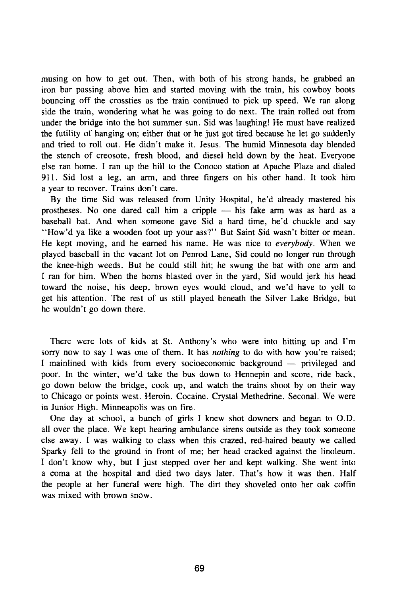musing on how to get out. Then, with both of his strong hands, he grabbed an iron bar passing above him and started moving with the train, his cowboy boots bouncing off the crossties as the train continued to pick up speed. We ran along side the train, wondering what he was going to do next. The train rolled out from under the bridge into the hot summer sun. Sid was laughing! He must have realized the futility of hanging on; either that or he just got tired because he let go suddenly and tried to roll out. He didn't make it. Jesus. The humid Minnesota day blended the stench of creosote, fresh blood, and diesel held down by the heat. Everyone else ran home. I ran up the hill to the Conoco station at Apache Plaza and dialed 911. Sid lost a leg, an arm, and three fingers on his other hand. It took him a year to recover. Trains don't care.

By the time Sid was released from Unity Hospital, he'd already mastered his prostheses. No one dared call him a cripple — his fake arm was as hard as a baseball bat. And when someone gave Sid a hard time, he'd chuckle and say "How'd ya like a wooden foot up your ass?" But Saint Sid wasn't bitter or mean. He kept moving, and he earned his name. He was nice to *everybody.* When we played baseball in the vacant lot on Penrod Lane, Sid could no longer run through the knee-high weeds. But he could still hit; he swung the bat with one arm and I ran for him. When the horns blasted over in the yard, Sid would jerk his head toward the noise, his deep, brown eyes would cloud, and we'd have to yell to get his attention. The rest of us still played beneath the Silver Lake Bridge, but he wouldn't go down there.

There were lots of kids at St. Anthony's who were into hitting up and I'm sorry now to say I was one of them. It has *nothing* to do with how you're raised; I mainlined with kids from every socioeconomic background — privileged and poor. In the winter, we'd take the bus down to Hennepin and score, ride back, go down below the bridge, cook up, and watch the trains shoot by on their way to Chicago or points west. Heroin. Cocaine. Crystal Methedrine. Seconal. We were in Junior High. Minneapolis was on fire.

One day at school, a bunch of girls I knew shot downers and began to O.D. all over the place. We kept hearing ambulance sirens outside as they took someone else away. I was walking to class when this crazed, red-haired beauty we called Sparky fell to the ground in front of me; her head cracked against the linoleum. I don't know why, but I just stepped over her and kept walking. She went into a coma at the hospital and died two days later. That's how it was then. Half the people at her funeral were high. The dirt they shoveled onto her oak coffin was mixed with brown snow.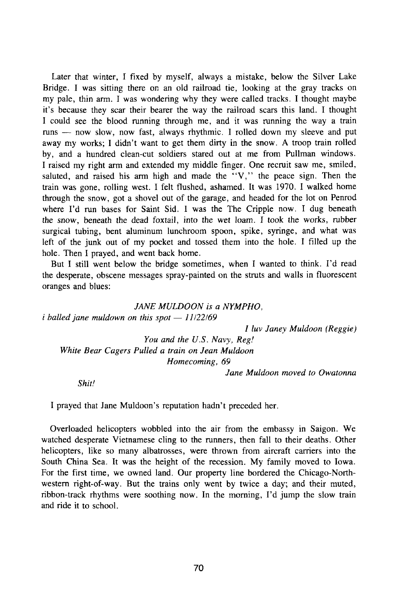Later that winter, I fixed by myself, always a mistake, below the Silver Lake Bridge. I was sitting there on an old railroad tie, looking at the gray tracks on my pale, thin arm. I was wondering why they were called tracks. I thought maybe it's because they scar their bearer the way the railroad scars this land. I thought I could see the blood running through me, and it was running the way a train runs — now slow, now fast, always rhythmic. I rolled down my sleeve and put away my works; I didn't want to get them dirty in the snow. A troop train rolled by, and a hundred clean-cut soldiers stared out at me from Pullman windows. I raised my right arm and extended my middle finger. One recruit saw me, smiled, saluted, and raised his arm high and made the "V, " the peace sign. Then the train was gone, rolling west. I felt flushed, ashamed. It was 1970. I walked home through the snow, got a shovel out of the garage, and headed for the lot on Penrod where I'd run bases for Saint Sid. I was the The Cripple now. I dug beneath the snow, beneath the dead foxtail, into the wet loam. I took the works, rubber surgical tubing, bent aluminum lunchroom spoon, spike, syringe, and what was left of the junk out of my pocket and tossed them into the hole. I filled up the hole. Then I prayed, and went back home.

But I still went below the bridge sometimes, when I wanted to think. I'd read the desperate, obscene messages spray-painted on the struts and walls in fluorescent oranges and blues:

*JANE MULDOON is a NYMPHO, i balled jane muldown on this spot* — *11122169* 

*1 luv Janey Muldoon (Reggie)* 

*You and the U.S. Navy, Reg! White Bear Cagers Pulled a train on Jean Muldoon Homecoming, 69* 

*Jane Muldoon moved to Owatonna* 

*Shit!* 

I prayed that Jane Muldoon's reputation hadn't preceded her.

Overloaded helicopters wobbled into the air from the embassy in Saigon. We watched desperate Vietnamese cling to the runners, then fall to their deaths. Other helicopters, like so many albatrosses, were thrown from aircraft carriers into the South China Sea. It was the height of the recession. My family moved to Iowa. For the first time, we owned land. Our property line bordered the Chicago-Northwestern right-of-way. But the trains only went by twice a day; and their muted, ribbon-track rhythms were soothing now. In the morning, I'd jump the slow train and ride it to school.